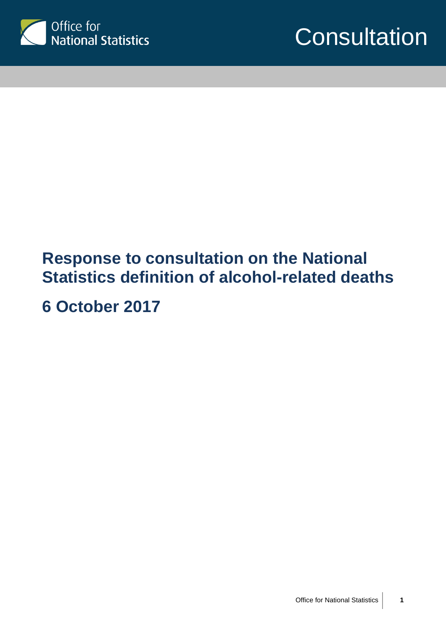



# **Response to consultation on the National Statistics definition of alcohol-related deaths**

**6 October 2017**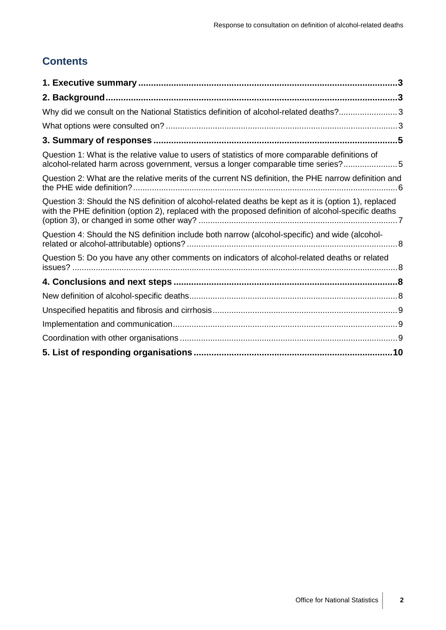# **Contents**

| Why did we consult on the National Statistics definition of alcohol-related deaths?3                                                                                                                         |  |
|--------------------------------------------------------------------------------------------------------------------------------------------------------------------------------------------------------------|--|
|                                                                                                                                                                                                              |  |
|                                                                                                                                                                                                              |  |
| Question 1: What is the relative value to users of statistics of more comparable definitions of<br>alcohol-related harm across government, versus a longer comparable time series?5                          |  |
| Question 2: What are the relative merits of the current NS definition, the PHE narrow definition and                                                                                                         |  |
| Question 3: Should the NS definition of alcohol-related deaths be kept as it is (option 1), replaced<br>with the PHE definition (option 2), replaced with the proposed definition of alcohol-specific deaths |  |
| Question 4: Should the NS definition include both narrow (alcohol-specific) and wide (alcohol-                                                                                                               |  |
| Question 5: Do you have any other comments on indicators of alcohol-related deaths or related                                                                                                                |  |
|                                                                                                                                                                                                              |  |
|                                                                                                                                                                                                              |  |
|                                                                                                                                                                                                              |  |
|                                                                                                                                                                                                              |  |
|                                                                                                                                                                                                              |  |
|                                                                                                                                                                                                              |  |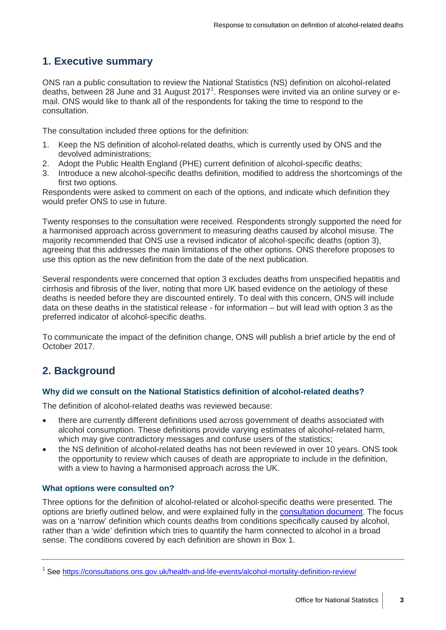# <span id="page-2-0"></span>**1. Executive summary**

ONS ran a public consultation to review the National Statistics (NS) definition on alcohol-related deaths, between 28 June and 3[1](#page-2-4) August 2017<sup>1</sup>. Responses were invited via an online survey or email. ONS would like to thank all of the respondents for taking the time to respond to the consultation.

The consultation included three options for the definition:

- 1. Keep the NS definition of alcohol-related deaths, which is currently used by ONS and the devolved administrations;
- 2. Adopt the Public Health England (PHE) current definition of alcohol-specific deaths;
- 3. Introduce a new alcohol-specific deaths definition, modified to address the shortcomings of the first two options.

Respondents were asked to comment on each of the options, and indicate which definition they would prefer ONS to use in future.

Twenty responses to the consultation were received. Respondents strongly supported the need for a harmonised approach across government to measuring deaths caused by alcohol misuse. The majority recommended that ONS use a revised indicator of alcohol-specific deaths (option 3), agreeing that this addresses the main limitations of the other options. ONS therefore proposes to use this option as the new definition from the date of the next publication.

Several respondents were concerned that option 3 excludes deaths from unspecified hepatitis and cirrhosis and fibrosis of the liver, noting that more UK based evidence on the aetiology of these deaths is needed before they are discounted entirely. To deal with this concern, ONS will include data on these deaths in the statistical release - for information – but will lead with option 3 as the preferred indicator of alcohol-specific deaths.

To communicate the impact of the definition change, ONS will publish a brief article by the end of October 2017.

# <span id="page-2-1"></span>**2. Background**

#### <span id="page-2-2"></span>**Why did we consult on the National Statistics definition of alcohol-related deaths?**

The definition of alcohol-related deaths was reviewed because:

- there are currently different definitions used across government of deaths associated with alcohol consumption. These definitions provide varying estimates of alcohol-related harm, which may give contradictory messages and confuse users of the statistics;
- the NS definition of alcohol-related deaths has not been reviewed in over 10 years. ONS took the opportunity to review which causes of death are appropriate to include in the definition, with a view to having a harmonised approach across the UK.

#### <span id="page-2-3"></span>**What options were consulted on?**

Three options for the definition of alcohol-related or alcohol-specific deaths were presented. The options are briefly outlined below, and were explained fully in the [consultation document.](https://consultations.ons.gov.uk/health-and-life-events/alcohol-mortality-definition-review/supporting_documents/Alcohol%20definition%20consultation%20final_proofed.pdf) The focus was on a 'narrow' definition which counts deaths from conditions specifically caused by alcohol, rather than a 'wide' definition which tries to quantify the harm connected to alcohol in a broad sense. The conditions covered by each definition are shown in Box 1.

<span id="page-2-4"></span><sup>&</sup>lt;sup>1</sup> See<https://consultations.ons.gov.uk/health-and-life-events/alcohol-mortality-definition-review/>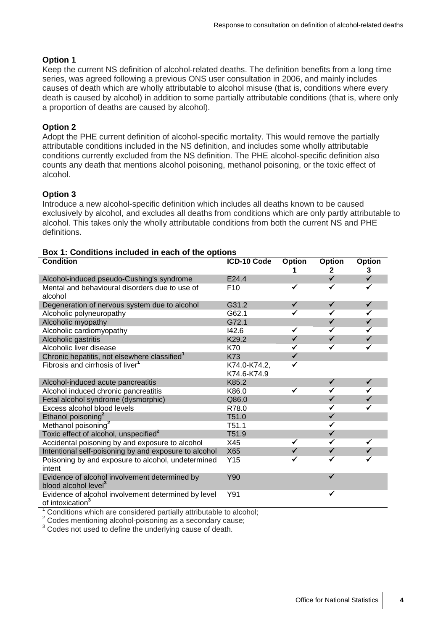#### **Option 1**

Keep the current NS definition of alcohol-related deaths. The definition benefits from a long time series, was agreed following a previous ONS user consultation in 2006, and mainly includes causes of death which are wholly attributable to alcohol misuse (that is, conditions where every death is caused by alcohol) in addition to some partially attributable conditions (that is, where only a proportion of deaths are caused by alcohol).

#### **Option 2**

Adopt the PHE current definition of alcohol-specific mortality. This would remove the partially attributable conditions included in the NS definition, and includes some wholly attributable conditions currently excluded from the NS definition. The PHE alcohol-specific definition also counts any death that mentions alcohol poisoning, methanol poisoning, or the toxic effect of alcohol.

#### **Option 3**

Introduce a new alcohol-specific definition which includes all deaths known to be caused exclusively by alcohol, and excludes all deaths from conditions which are only partly attributable to alcohol. This takes only the wholly attributable conditions from both the current NS and PHE definitions.

| <b>Condition</b>                                                                    | ICD-10 Code     | Option       | <b>Option</b>           | <b>Option</b>           |
|-------------------------------------------------------------------------------------|-----------------|--------------|-------------------------|-------------------------|
|                                                                                     |                 |              | 2                       | 3                       |
| Alcohol-induced pseudo-Cushing's syndrome                                           | E24.4           |              | $\overline{\checkmark}$ | $\overline{\checkmark}$ |
| Mental and behavioural disorders due to use of                                      | F <sub>10</sub> | ✓            | ✓                       | ✓                       |
| alcohol                                                                             |                 |              |                         |                         |
| Degeneration of nervous system due to alcohol                                       | G31.2           | $\checkmark$ | $\checkmark$            | $\checkmark$            |
| Alcoholic polyneuropathy                                                            | G62.1           | ✔            | $\checkmark$            | $\checkmark$            |
| Alcoholic myopathy                                                                  | G72.1           |              | $\checkmark$            | $\checkmark$            |
| Alcoholic cardiomyopathy                                                            | 142.6           | ✓            | ✔                       | ✓                       |
| Alcoholic gastritis                                                                 | K29.2           | $\checkmark$ | $\checkmark$            | $\checkmark$            |
| Alcoholic liver disease                                                             | K70             | ✓            | ✓                       | ✓                       |
| Chronic hepatitis, not elsewhere classified <sup>1</sup>                            | <b>K73</b>      | $\checkmark$ |                         |                         |
| Fibrosis and cirrhosis of liver <sup>1</sup>                                        | K74.0-K74.2,    |              |                         |                         |
|                                                                                     | K74.6-K74.9     |              |                         |                         |
| Alcohol-induced acute pancreatitis                                                  | K85.2           |              | $\checkmark$            | $\checkmark$            |
| Alcohol induced chronic pancreatitis                                                | K86.0           |              | ✓                       | ✓                       |
| Fetal alcohol syndrome (dysmorphic)                                                 | Q86.0           |              | $\checkmark$            | $\checkmark$            |
| Excess alcohol blood levels                                                         | R78.0           |              | ✓                       |                         |
| Ethanol poisoning <sup>2</sup>                                                      | T51.0           |              | $\checkmark$            |                         |
| Methanol poisoning <sup>2</sup>                                                     | T51.1           |              | $\checkmark$            |                         |
| Toxic effect of alcohol, unspecified <sup>2</sup>                                   | T51.9           |              | $\checkmark$            |                         |
| Accidental poisoning by and exposure to alcohol                                     | X45             |              | ✓                       |                         |
| Intentional self-poisoning by and exposure to alcohol                               | X65             |              | $\checkmark$            |                         |
| Poisoning by and exposure to alcohol, undetermined                                  | Y15             | ✓            | ✓                       |                         |
| intent                                                                              |                 |              |                         |                         |
| Evidence of alcohol involvement determined by                                       | Y90             |              | ✓                       |                         |
| blood alcohol level <sup>3</sup>                                                    |                 |              |                         |                         |
| Evidence of alcohol involvement determined by level<br>of intoxication <sup>3</sup> | Y91             |              | ✓                       |                         |

**Box 1: Conditions included in each of the options**

<sup>1</sup> Conditions which are considered partially attributable to alcohol;  $\frac{2}{3}$  Codes mentioning alcohol-poisoning as a secondary cause;  $\frac{3}{3}$  Codes not used to define the underlying cause of death.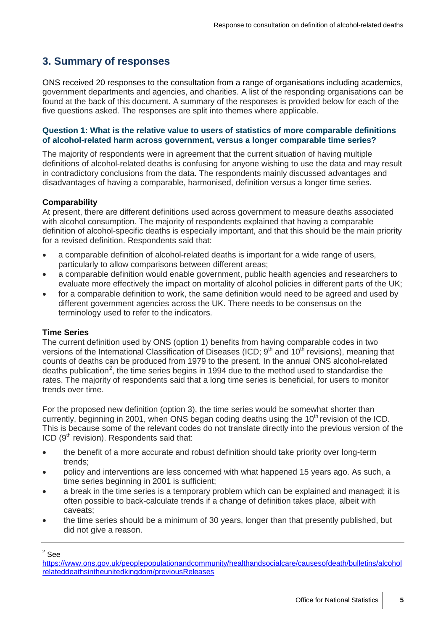### <span id="page-4-0"></span>**3. Summary of responses**

ONS received 20 responses to the consultation from a range of organisations including academics, government departments and agencies, and charities. A list of the responding organisations can be found at the back of this document. A summary of the responses is provided below for each of the five questions asked. The responses are split into themes where applicable.

#### <span id="page-4-1"></span>**Question 1: What is the relative value to users of statistics of more comparable definitions of alcohol-related harm across government, versus a longer comparable time series?**

The majority of respondents were in agreement that the current situation of having multiple definitions of alcohol-related deaths is confusing for anyone wishing to use the data and may result in contradictory conclusions from the data. The respondents mainly discussed advantages and disadvantages of having a comparable, harmonised, definition versus a longer time series.

#### **Comparability**

At present, there are different definitions used across government to measure deaths associated with alcohol consumption. The majority of respondents explained that having a comparable definition of alcohol-specific deaths is especially important, and that this should be the main priority for a revised definition. Respondents said that:

- a comparable definition of alcohol-related deaths is important for a wide range of users, particularly to allow comparisons between different areas;
- a comparable definition would enable government, public health agencies and researchers to evaluate more effectively the impact on mortality of alcohol policies in different parts of the UK;
- for a comparable definition to work, the same definition would need to be agreed and used by different government agencies across the UK. There needs to be consensus on the terminology used to refer to the indicators.

#### **Time Series**

The current definition used by ONS (option 1) benefits from having comparable codes in two versions of the International Classification of Diseases (ICD;  $9<sup>th</sup>$  and  $10<sup>th</sup>$  revisions), meaning that counts of deaths can be produced from 1979 to the present. In the annual ONS alcohol-related deaths publication<sup>[2](#page-4-2)</sup>, the time series begins in 1994 due to the method used to standardise the rates. The majority of respondents said that a long time series is beneficial, for users to monitor trends over time.

For the proposed new definition (option 3), the time series would be somewhat shorter than currently, beginning in 2001, when ONS began coding deaths using the 10<sup>th</sup> revision of the ICD. This is because some of the relevant codes do not translate directly into the previous version of the ICD  $(9<sup>th</sup>$  revision). Respondents said that:

- the benefit of a more accurate and robust definition should take priority over long-term trends;
- policy and interventions are less concerned with what happened 15 years ago. As such, a time series beginning in 2001 is sufficient;
- a break in the time series is a temporary problem which can be explained and managed; it is often possible to back-calculate trends if a change of definition takes place, albeit with caveats;
- the time series should be a minimum of 30 years, longer than that presently published, but did not give a reason.

 $2$  See

<span id="page-4-2"></span>[https://www.ons.gov.uk/peoplepopulationandcommunity/healthandsocialcare/causesofdeath/bulletins/alcohol](https://www.ons.gov.uk/peoplepopulationandcommunity/healthandsocialcare/causesofdeath/bulletins/alcoholrelateddeathsintheunitedkingdom/previousReleases) [relateddeathsintheunitedkingdom/previousReleases](https://www.ons.gov.uk/peoplepopulationandcommunity/healthandsocialcare/causesofdeath/bulletins/alcoholrelateddeathsintheunitedkingdom/previousReleases)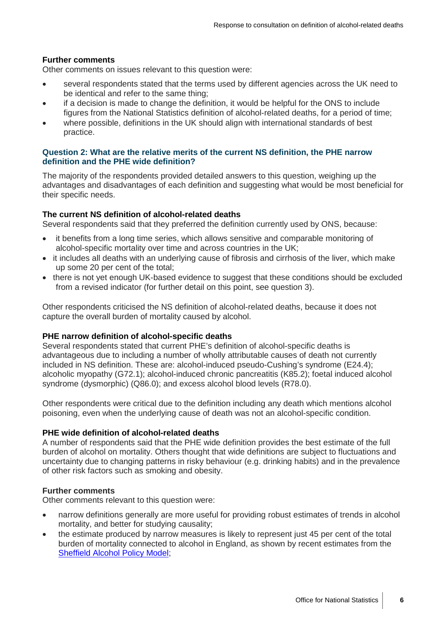#### **Further comments**

Other comments on issues relevant to this question were:

- several respondents stated that the terms used by different agencies across the UK need to be identical and refer to the same thing;
- if a decision is made to change the definition, it would be helpful for the ONS to include figures from the National Statistics definition of alcohol-related deaths, for a period of time;
- where possible, definitions in the UK should align with international standards of best practice.

#### <span id="page-5-0"></span>**Question 2: What are the relative merits of the current NS definition, the PHE narrow definition and the PHE wide definition?**

The majority of the respondents provided detailed answers to this question, weighing up the advantages and disadvantages of each definition and suggesting what would be most beneficial for their specific needs.

#### **The current NS definition of alcohol-related deaths**

Several respondents said that they preferred the definition currently used by ONS, because:

- it benefits from a long time series, which allows sensitive and comparable monitoring of alcohol-specific mortality over time and across countries in the UK;
- it includes all deaths with an underlying cause of fibrosis and cirrhosis of the liver, which make up some 20 per cent of the total;
- there is not yet enough UK-based evidence to suggest that these conditions should be excluded from a revised indicator (for further detail on this point, see question 3).

Other respondents criticised the NS definition of alcohol-related deaths, because it does not capture the overall burden of mortality caused by alcohol.

#### **PHE narrow definition of alcohol-specific deaths**

Several respondents stated that current PHE's definition of alcohol-specific deaths is advantageous due to including a number of wholly attributable causes of death not currently included in NS definition. These are: alcohol-induced pseudo-Cushing's syndrome (E24.4); alcoholic myopathy (G72.1); alcohol-induced chronic pancreatitis (K85.2); foetal induced alcohol syndrome (dysmorphic) (Q86.0); and excess alcohol blood levels (R78.0).

Other respondents were critical due to the definition including any death which mentions alcohol poisoning, even when the underlying cause of death was not an alcohol-specific condition.

#### **PHE wide definition of alcohol-related deaths**

A number of respondents said that the PHE wide definition provides the best estimate of the full burden of alcohol on mortality. Others thought that wide definitions are subject to fluctuations and uncertainty due to changing patterns in risky behaviour (e.g. drinking habits) and in the prevalence of other risk factors such as smoking and obesity.

#### **Further comments**

Other comments relevant to this question were:

- narrow definitions generally are more useful for providing robust estimates of trends in alcohol mortality, and better for studying causality;
- the estimate produced by narrow measures is likely to represent just 45 per cent of the total burden of mortality connected to alcohol in England, as shown by recent estimates from the [Sheffield Alcohol Policy Model;](https://www.sheffield.ac.uk/scharr/sections/ph/research/alpol/research/sapm)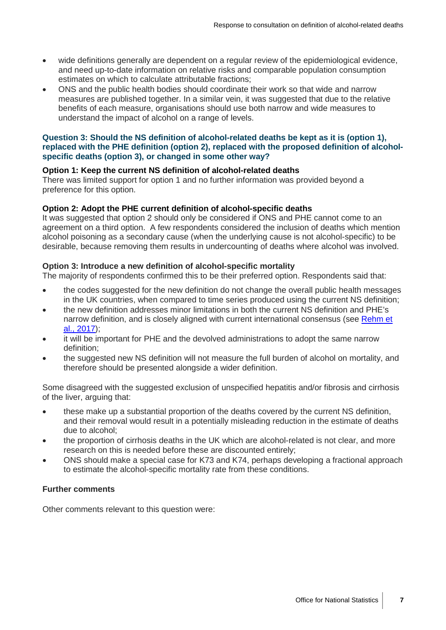- wide definitions generally are dependent on a regular review of the epidemiological evidence, and need up-to-date information on relative risks and comparable population consumption estimates on which to calculate attributable fractions;
- ONS and the public health bodies should coordinate their work so that wide and narrow measures are published together. In a similar vein, it was suggested that due to the relative benefits of each measure, organisations should use both narrow and wide measures to understand the impact of alcohol on a range of levels.

#### <span id="page-6-0"></span>**Question 3: Should the NS definition of alcohol-related deaths be kept as it is (option 1), replaced with the PHE definition (option 2), replaced with the proposed definition of alcoholspecific deaths (option 3), or changed in some other way?**

#### **Option 1: Keep the current NS definition of alcohol-related deaths**

There was limited support for option 1 and no further information was provided beyond a preference for this option.

#### **Option 2: Adopt the PHE current definition of alcohol-specific deaths**

It was suggested that option 2 should only be considered if ONS and PHE cannot come to an agreement on a third option. A few respondents considered the inclusion of deaths which mention alcohol poisoning as a secondary cause (when the underlying cause is not alcohol-specific) to be desirable, because removing them results in undercounting of deaths where alcohol was involved.

#### **Option 3: Introduce a new definition of alcohol-specific mortality**

The majority of respondents confirmed this to be their preferred option. Respondents said that:

- the codes suggested for the new definition do not change the overall public health messages in the UK countries, when compared to time series produced using the current NS definition;
- the new definition addresses minor limitations in both the current NS definition and PHE's narrow definition, and is closely aligned with current international consensus (see [Rehm et](https://www.ncbi.nlm.nih.gov/pmc/articles/PMC5434904/pdf/ADD-112-968.pdf)  [al., 2017\)](https://www.ncbi.nlm.nih.gov/pmc/articles/PMC5434904/pdf/ADD-112-968.pdf);
- it will be important for PHE and the devolved administrations to adopt the same narrow definition;
- the suggested new NS definition will not measure the full burden of alcohol on mortality, and therefore should be presented alongside a wider definition.

Some disagreed with the suggested exclusion of unspecified hepatitis and/or fibrosis and cirrhosis of the liver, arguing that:

- these make up a substantial proportion of the deaths covered by the current NS definition, and their removal would result in a potentially misleading reduction in the estimate of deaths due to alcohol;
- the proportion of cirrhosis deaths in the UK which are alcohol-related is not clear, and more research on this is needed before these are discounted entirely;
- ONS should make a special case for K73 and K74, perhaps developing a fractional approach to estimate the alcohol-specific mortality rate from these conditions.

#### **Further comments**

Other comments relevant to this question were: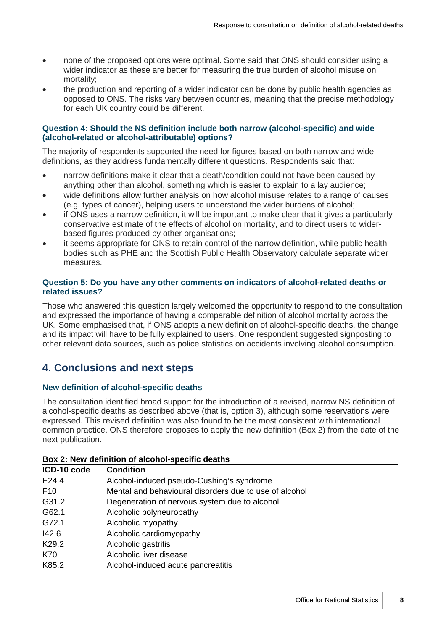- none of the proposed options were optimal. Some said that ONS should consider using a wider indicator as these are better for measuring the true burden of alcohol misuse on mortality;
- the production and reporting of a wider indicator can be done by public health agencies as opposed to ONS. The risks vary between countries, meaning that the precise methodology for each UK country could be different.

#### <span id="page-7-0"></span>**Question 4: Should the NS definition include both narrow (alcohol-specific) and wide (alcohol-related or alcohol-attributable) options?**

The majority of respondents supported the need for figures based on both narrow and wide definitions, as they address fundamentally different questions. Respondents said that:

- narrow definitions make it clear that a death/condition could not have been caused by anything other than alcohol, something which is easier to explain to a lay audience;
- wide definitions allow further analysis on how alcohol misuse relates to a range of causes (e.g. types of cancer), helping users to understand the wider burdens of alcohol;
- if ONS uses a narrow definition, it will be important to make clear that it gives a particularly conservative estimate of the effects of alcohol on mortality, and to direct users to widerbased figures produced by other organisations;
- it seems appropriate for ONS to retain control of the narrow definition, while public health bodies such as PHE and the Scottish Public Health Observatory calculate separate wider measures.

#### <span id="page-7-1"></span>**Question 5: Do you have any other comments on indicators of alcohol-related deaths or related issues?**

Those who answered this question largely welcomed the opportunity to respond to the consultation and expressed the importance of having a comparable definition of alcohol mortality across the UK. Some emphasised that, if ONS adopts a new definition of alcohol-specific deaths, the change and its impact will have to be fully explained to users. One respondent suggested signposting to other relevant data sources, such as police statistics on accidents involving alcohol consumption.

## <span id="page-7-2"></span>**4. Conclusions and next steps**

#### <span id="page-7-3"></span>**New definition of alcohol-specific deaths**

The consultation identified broad support for the introduction of a revised, narrow NS definition of alcohol-specific deaths as described above (that is, option 3), although some reservations were expressed. This revised definition was also found to be the most consistent with international common practice. ONS therefore proposes to apply the new definition (Box 2) from the date of the next publication.

| 5000 E. HUN GUINNIUM UI GIUUNIUI OPUUNIU GUGUNU |                                                        |  |  |  |
|-------------------------------------------------|--------------------------------------------------------|--|--|--|
| ICD-10 code                                     | <b>Condition</b>                                       |  |  |  |
| E24.4                                           | Alcohol-induced pseudo-Cushing's syndrome              |  |  |  |
| F <sub>10</sub>                                 | Mental and behavioural disorders due to use of alcohol |  |  |  |
| G31.2                                           | Degeneration of nervous system due to alcohol          |  |  |  |
| G62.1                                           | Alcoholic polyneuropathy                               |  |  |  |
| G72.1                                           | Alcoholic myopathy                                     |  |  |  |
| 142.6                                           | Alcoholic cardiomyopathy                               |  |  |  |
| K <sub>29.2</sub>                               | Alcoholic gastritis                                    |  |  |  |
| K70                                             | Alcoholic liver disease                                |  |  |  |
| K85.2                                           | Alcohol-induced acute pancreatitis                     |  |  |  |

#### **Box 2: New definition of alcohol-specific deaths**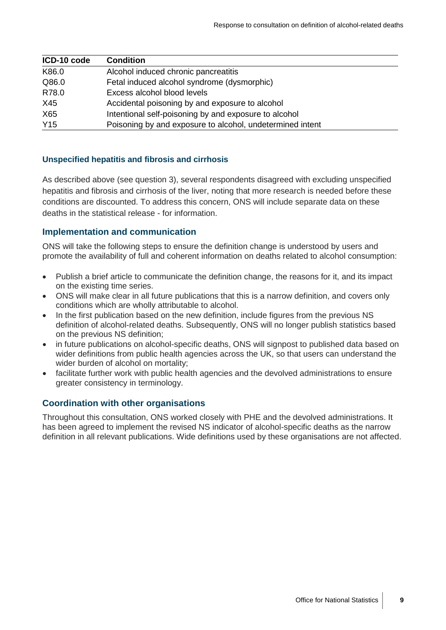| ICD-10 code     | <b>Condition</b>                                          |
|-----------------|-----------------------------------------------------------|
| K86.0           | Alcohol induced chronic pancreatitis                      |
| Q86.0           | Fetal induced alcohol syndrome (dysmorphic)               |
| R78.0           | Excess alcohol blood levels                               |
| X45             | Accidental poisoning by and exposure to alcohol           |
| X65             | Intentional self-poisoning by and exposure to alcohol     |
| Y <sub>15</sub> | Poisoning by and exposure to alcohol, undetermined intent |

#### <span id="page-8-0"></span>**Unspecified hepatitis and fibrosis and cirrhosis**

As described above (see question 3), several respondents disagreed with excluding unspecified hepatitis and fibrosis and cirrhosis of the liver, noting that more research is needed before these conditions are discounted. To address this concern, ONS will include separate data on these deaths in the statistical release - for information.

#### <span id="page-8-1"></span>**Implementation and communication**

ONS will take the following steps to ensure the definition change is understood by users and promote the availability of full and coherent information on deaths related to alcohol consumption:

- Publish a brief article to communicate the definition change, the reasons for it, and its impact on the existing time series.
- ONS will make clear in all future publications that this is a narrow definition, and covers only conditions which are wholly attributable to alcohol.
- In the first publication based on the new definition, include figures from the previous NS definition of alcohol-related deaths. Subsequently, ONS will no longer publish statistics based on the previous NS definition;
- in future publications on alcohol-specific deaths, ONS will signpost to published data based on wider definitions from public health agencies across the UK, so that users can understand the wider burden of alcohol on mortality;
- facilitate further work with public health agencies and the devolved administrations to ensure greater consistency in terminology.

#### <span id="page-8-2"></span>**Coordination with other organisations**

Throughout this consultation, ONS worked closely with PHE and the devolved administrations. It has been agreed to implement the revised NS indicator of alcohol-specific deaths as the narrow definition in all relevant publications. Wide definitions used by these organisations are not affected.